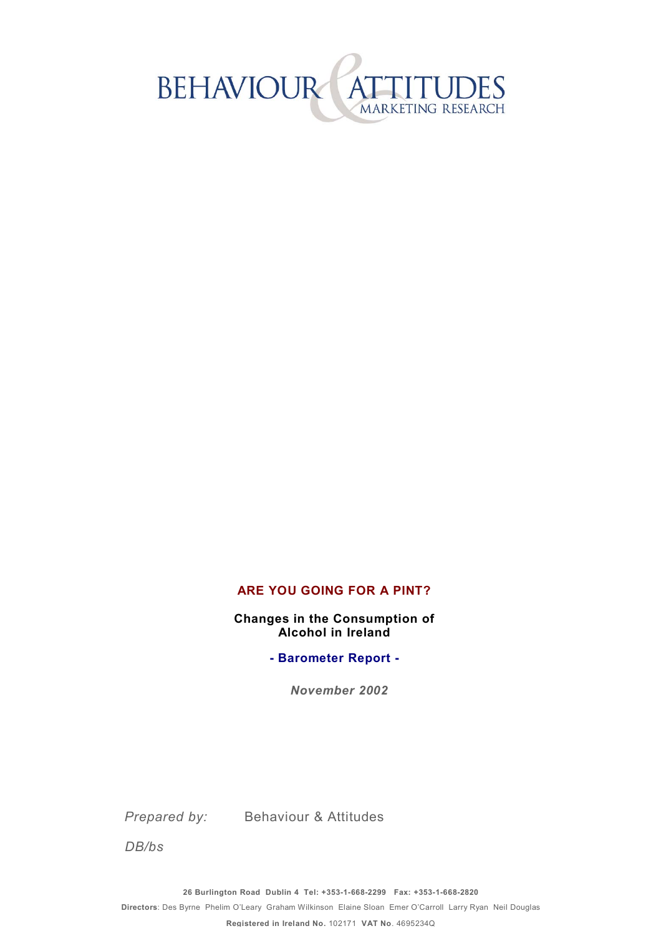

#### **ARE YOU GOING FOR A PINT?**

**Changes in the Consumption of Alcohol in Ireland** 

**- Barometer Report -** 

*November 2002*

*Prepared by:* Behaviour & Attitudes

*DB/bs*

**26 Burlington Road Dublin 4 Tel: +353-1-668-2299 Fax: +353-1-668-2820** 

**Directors**: Des Byrne Phelim OíLeary Graham Wilkinson Elaine Sloan Emer OíCarroll Larry Ryan Neil Douglas

**Registered in Ireland No.** 102171 **VAT No**. 4695234Q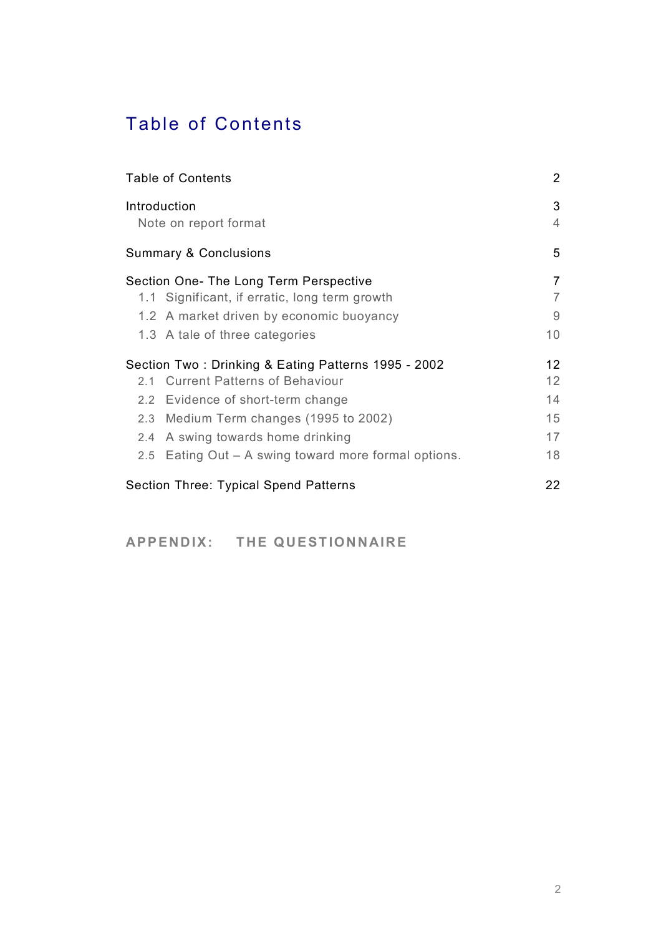# Table of Contents

| <b>Table of Contents</b><br>Introduction<br>Note on report format |                |
|-------------------------------------------------------------------|----------------|
|                                                                   |                |
| Section One- The Long Term Perspective                            | $\overline{7}$ |
| 1.1 Significant, if erratic, long term growth                     | $\overline{7}$ |
| 1.2 A market driven by economic buoyancy                          | 9              |
| 1.3 A tale of three categories                                    | 10             |
| Section Two: Drinking & Eating Patterns 1995 - 2002               | 12             |
| 2.1 Current Patterns of Behaviour                                 | 12             |
| 2.2 Evidence of short-term change                                 | 14             |
| 2.3 Medium Term changes (1995 to 2002)                            | 15             |
| 2.4 A swing towards home drinking                                 | 17             |
| 2.5 Eating Out – A swing toward more formal options.              | 18             |
| Section Three: Typical Spend Patterns                             | 22             |
|                                                                   |                |

APPENDIX: THE QUESTIONNAIRE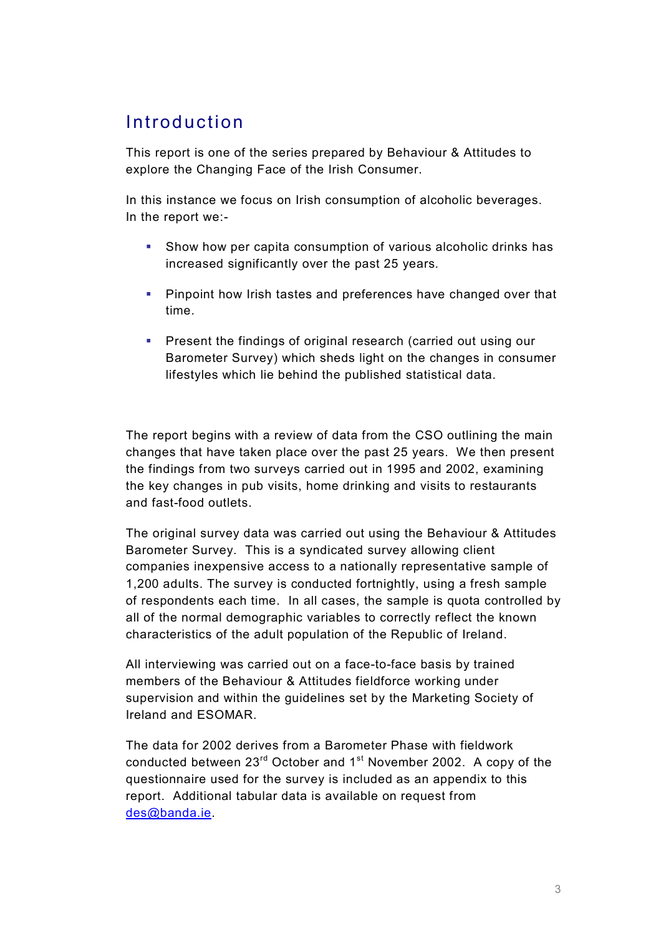## Introduction

This report is one of the series prepared by Behaviour & Attitudes to explore the Changing Face of the Irish Consumer.

In this instance we focus on Irish consumption of alcoholic beverages. In the report we:-

- ! Show how per capita consumption of various alcoholic drinks has increased significantly over the past 25 years.
- ! Pinpoint how Irish tastes and preferences have changed over that time.
- **EXECTE:** Present the findings of original research (carried out using our Barometer Survey) which sheds light on the changes in consumer lifestyles which lie behind the published statistical data.

The report begins with a review of data from the CSO outlining the main changes that have taken place over the past 25 years. We then present the findings from two surveys carried out in 1995 and 2002, examining the key changes in pub visits, home drinking and visits to restaurants and fast-food outlets.

The original survey data was carried out using the Behaviour & Attitudes Barometer Survey. This is a syndicated survey allowing client companies inexpensive access to a nationally representative sample of 1,200 adults. The survey is conducted fortnightly, using a fresh sample of respondents each time. In all cases, the sample is quota controlled by all of the normal demographic variables to correctly reflect the known characteristics of the adult population of the Republic of Ireland.

All interviewing was carried out on a face-to-face basis by trained members of the Behaviour & Attitudes fieldforce working under supervision and within the guidelines set by the Marketing Society of Ireland and ESOMAR.

The data for 2002 derives from a Barometer Phase with fieldwork conducted between  $23<sup>rd</sup>$  October and  $1<sup>st</sup>$  November 2002. A copy of the questionnaire used for the survey is included as an appendix to this report. Additional tabular data is available on request from des@banda.ie.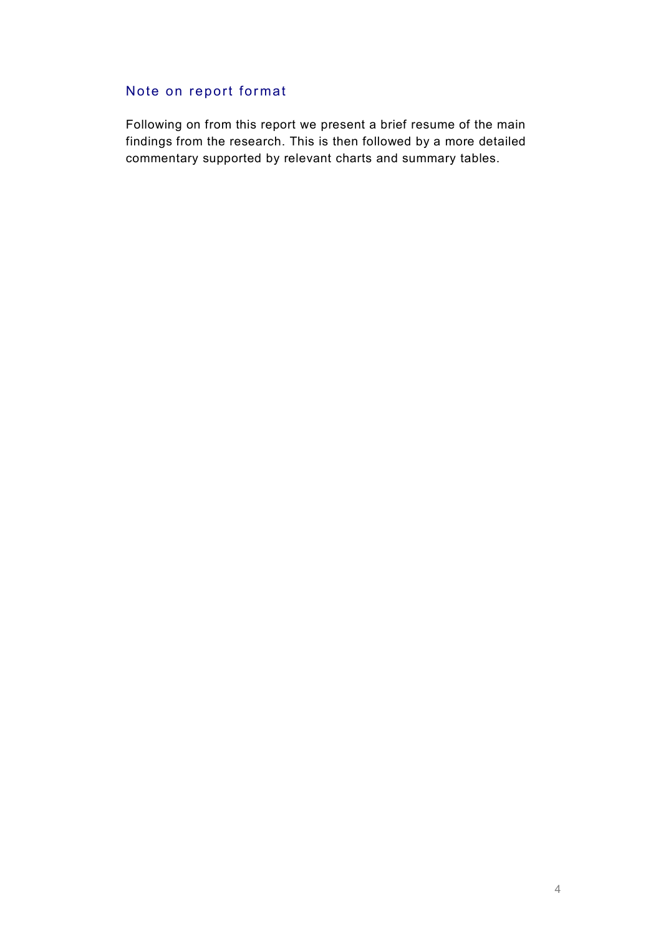### Note on report format

Following on from this report we present a brief resume of the main findings from the research. This is then followed by a more detailed commentary supported by relevant charts and summary tables.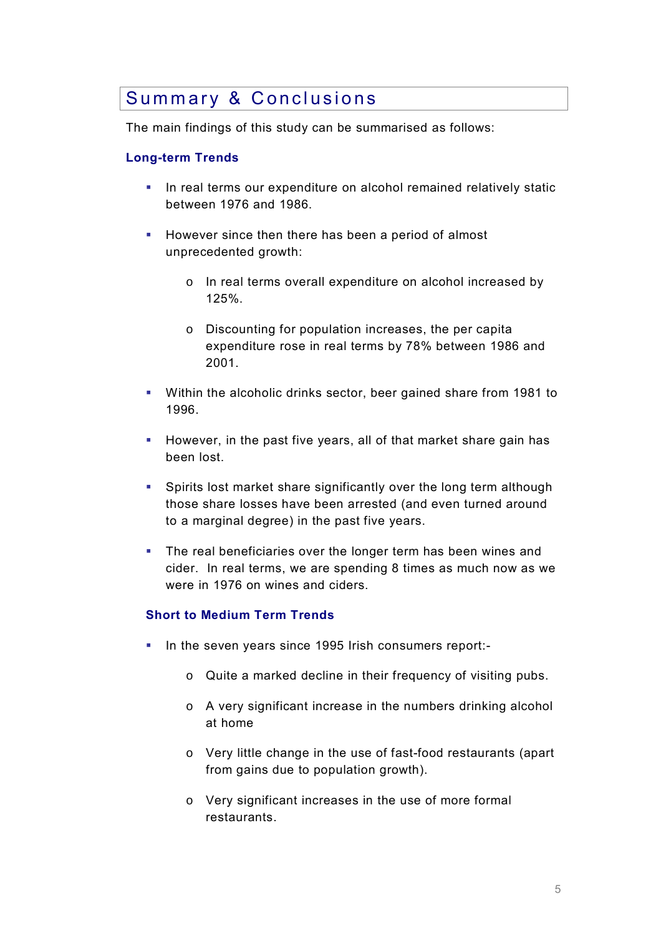### Summary & Conclusions

The main findings of this study can be summarised as follows:

#### **Long-term Trends**

- In real terms our expenditure on alcohol remained relatively static between 1976 and 1986.
- ! However since then there has been a period of almost unprecedented growth:
	- o In real terms overall expenditure on alcohol increased by 125%.
	- o Discounting for population increases, the per capita expenditure rose in real terms by 78% between 1986 and 2001.
- ! Within the alcoholic drinks sector, beer gained share from 1981 to 1996.
- ! However, in the past five years, all of that market share gain has been lost.
- ! Spirits lost market share significantly over the long term although those share losses have been arrested (and even turned around to a marginal degree) in the past five years.
- ! The real beneficiaries over the longer term has been wines and cider. In real terms, we are spending 8 times as much now as we were in 1976 on wines and ciders.

#### **Short to Medium Term Trends**

- ! In the seven years since 1995 Irish consumers report:
	- o Quite a marked decline in their frequency of visiting pubs.
	- o A very significant increase in the numbers drinking alcohol at home
	- o Very little change in the use of fast-food restaurants (apart from gains due to population growth).
	- o Very significant increases in the use of more formal restaurants.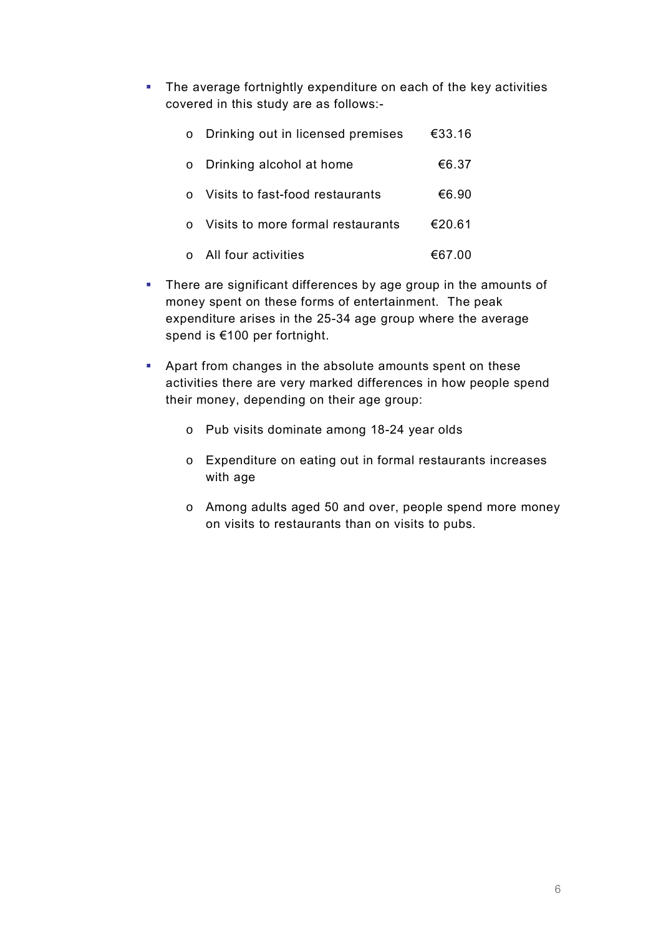**.** The average fortnightly expenditure on each of the key activities covered in this study are as follows:-

|         | o Drinking out in licensed premises | €33.16 |
|---------|-------------------------------------|--------|
| $\circ$ | Drinking alcohol at home            | €6.37  |
|         | Visits to fast-food restaurants     | €6.90  |
|         | Visits to more formal restaurants   | €20.61 |
|         | All four activities                 | €67.00 |

- ! There are significant differences by age group in the amounts of money spent on these forms of entertainment. The peak expenditure arises in the 25-34 age group where the average spend is  $€100$  per fortnight.
- ! Apart from changes in the absolute amounts spent on these activities there are very marked differences in how people spend their money, depending on their age group:
	- o Pub visits dominate among 18-24 year olds
	- o Expenditure on eating out in formal restaurants increases with age
	- o Among adults aged 50 and over, people spend more money on visits to restaurants than on visits to pubs.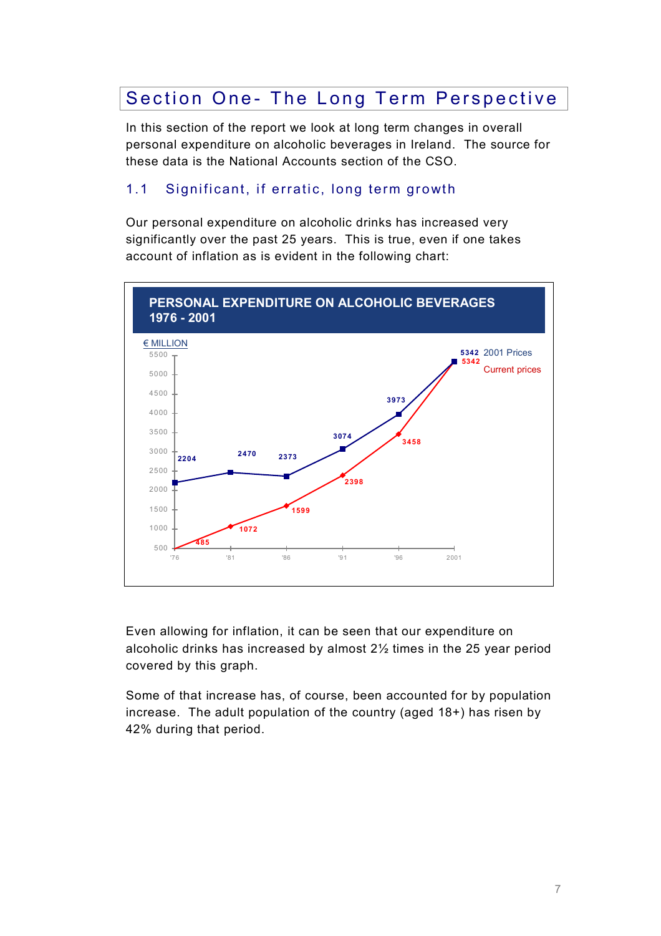## Section One- The Long Term Perspective

In this section of the report we look at long term changes in overall personal expenditure on alcoholic beverages in Ireland. The source for these data is the National Accounts section of the CSO.

### 1.1 Significant, if erratic, long term growth

Our personal expenditure on alcoholic drinks has increased very significantly over the past 25 years. This is true, even if one takes account of inflation as is evident in the following chart:



Even allowing for inflation, it can be seen that our expenditure on alcoholic drinks has increased by almost 2½ times in the 25 year period covered by this graph.

Some of that increase has, of course, been accounted for by population increase. The adult population of the country (aged 18+) has risen by 42% during that period.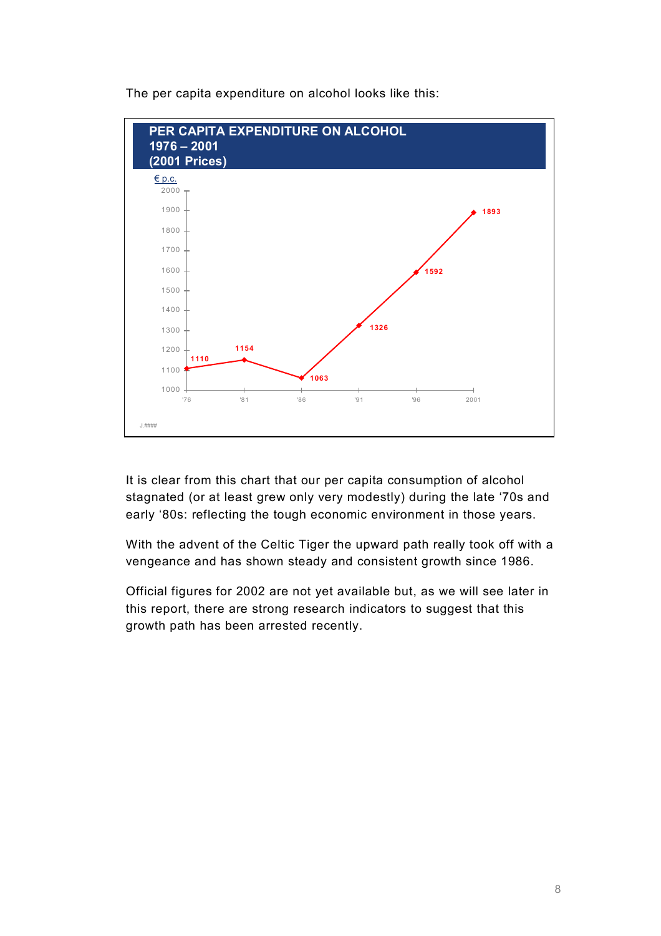

The per capita expenditure on alcohol looks like this:

It is clear from this chart that our per capita consumption of alcohol stagnated (or at least grew only very modestly) during the late '70s and early '80s: reflecting the tough economic environment in those years.

With the advent of the Celtic Tiger the upward path really took off with a vengeance and has shown steady and consistent growth since 1986.

Official figures for 2002 are not yet available but, as we will see later in this report, there are strong research indicators to suggest that this growth path has been arrested recently.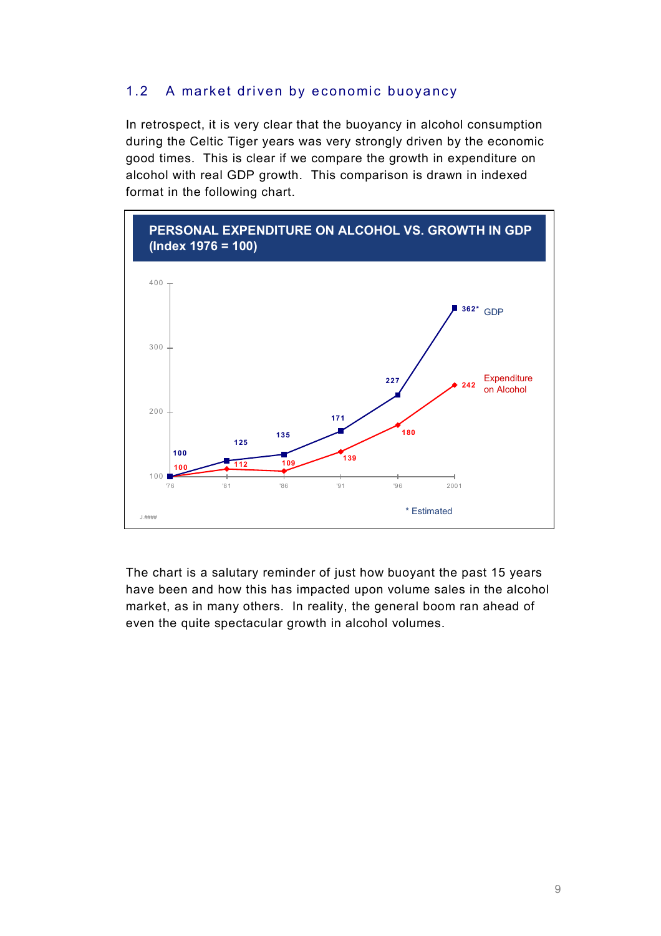#### 1.2 A market driven by economic buoyancy

In retrospect, it is very clear that the buoyancy in alcohol consumption during the Celtic Tiger years was very strongly driven by the economic good times. This is clear if we compare the growth in expenditure on alcohol with real GDP growth. This comparison is drawn in indexed format in the following chart.



The chart is a salutary reminder of just how buoyant the past 15 years have been and how this has impacted upon volume sales in the alcohol market, as in many others. In reality, the general boom ran ahead of even the quite spectacular growth in alcohol volumes.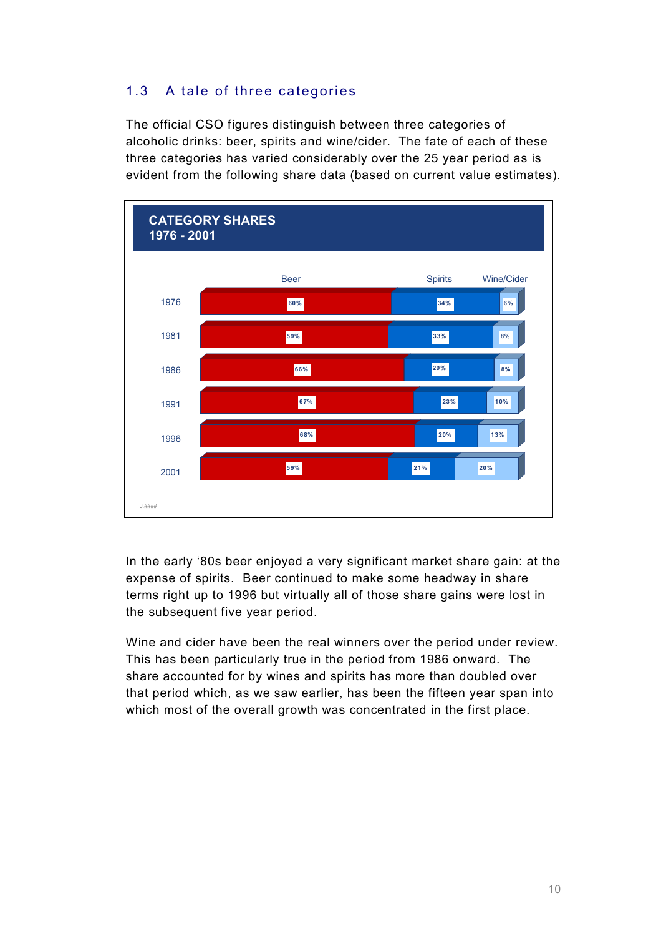### 1.3 A tale of three categories

The official CSO figures distinguish between three categories of alcoholic drinks: beer, spirits and wine/cider. The fate of each of these three categories has varied considerably over the 25 year period as is evident from the following share data (based on current value estimates).



In the early '80s beer enjoyed a very significant market share gain: at the expense of spirits. Beer continued to make some headway in share terms right up to 1996 but virtually all of those share gains were lost in the subsequent five year period.

Wine and cider have been the real winners over the period under review. This has been particularly true in the period from 1986 onward. The share accounted for by wines and spirits has more than doubled over that period which, as we saw earlier, has been the fifteen year span into which most of the overall growth was concentrated in the first place.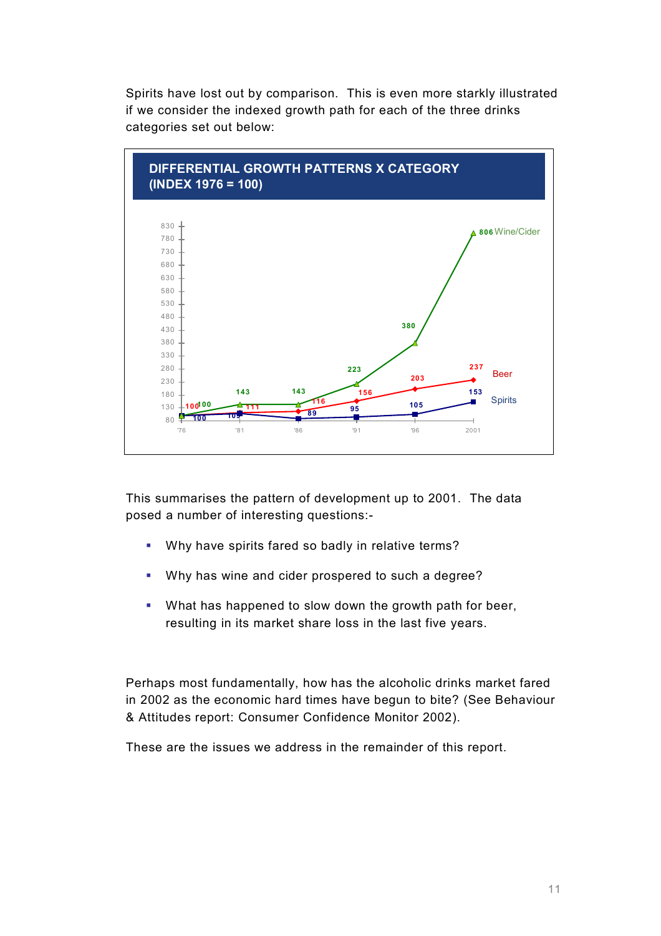Spirits have lost out by comparison. This is even more starkly illustrated if we consider the indexed growth path for each of the three drinks categories set out below:



This summarises the pattern of development up to 2001. The data posed a number of interesting questions:-

- ! Why have spirits fared so badly in relative terms?
- ! Why has wine and cider prospered to such a degree?
- ! What has happened to slow down the growth path for beer, resulting in its market share loss in the last five years.

Perhaps most fundamentally, how has the alcoholic drinks market fared in 2002 as the economic hard times have begun to bite? (See Behaviour & Attitudes report: Consumer Confidence Monitor 2002).

These are the issues we address in the remainder of this report.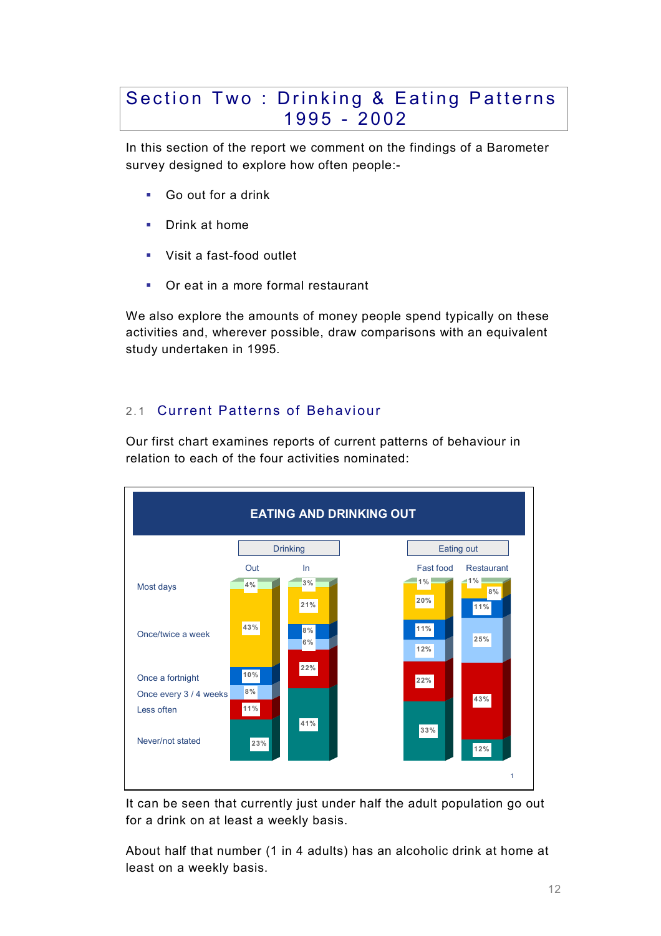### Section Two : Drinking & Eating Patterns 1995 - 2002

In this section of the report we comment on the findings of a Barometer survey designed to explore how often people:-

- ! Go out for a drink
- **•** Drink at home
- ! Visit a fast-food outlet
- ! Or eat in a more formal restaurant

We also explore the amounts of money people spend typically on these activities and, wherever possible, draw comparisons with an equivalent study undertaken in 1995.

#### 2.1 Current Patterns of Behaviour

Our first chart examines reports of current patterns of behaviour in relation to each of the four activities nominated:



It can be seen that currently just under half the adult population go out for a drink on at least a weekly basis.

About half that number (1 in 4 adults) has an alcoholic drink at home at least on a weekly basis.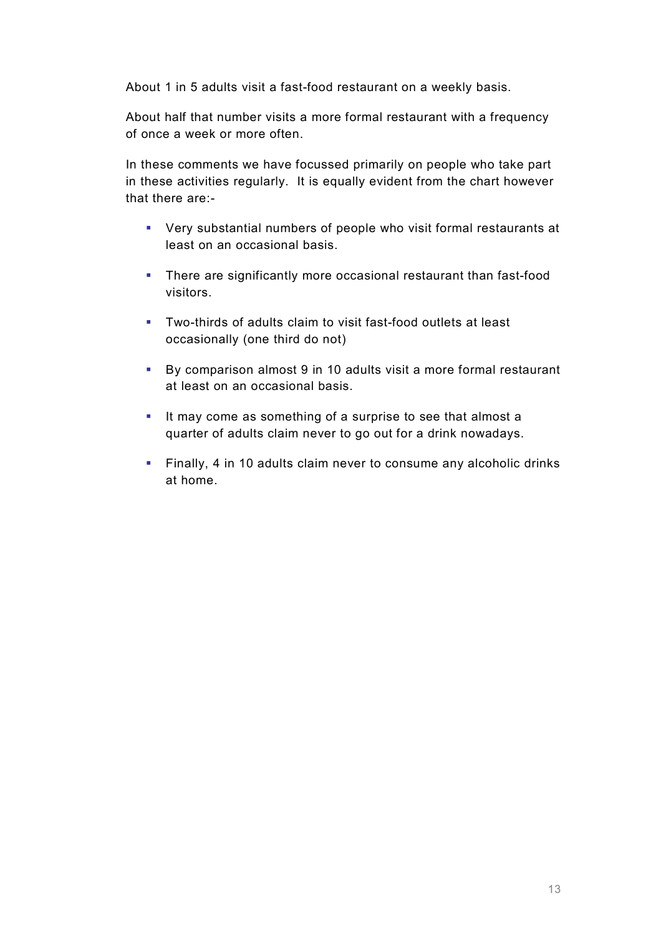About 1 in 5 adults visit a fast-food restaurant on a weekly basis.

About half that number visits a more formal restaurant with a frequency of once a week or more often.

In these comments we have focussed primarily on people who take part in these activities regularly. It is equally evident from the chart however that there are:-

- ! Very substantial numbers of people who visit formal restaurants at least on an occasional basis.
- ! There are significantly more occasional restaurant than fast-food visitors.
- ! Two-thirds of adults claim to visit fast-food outlets at least occasionally (one third do not)
- ! By comparison almost 9 in 10 adults visit a more formal restaurant at least on an occasional basis.
- ! It may come as something of a surprise to see that almost a quarter of adults claim never to go out for a drink nowadays.
- ! Finally, 4 in 10 adults claim never to consume any alcoholic drinks at home.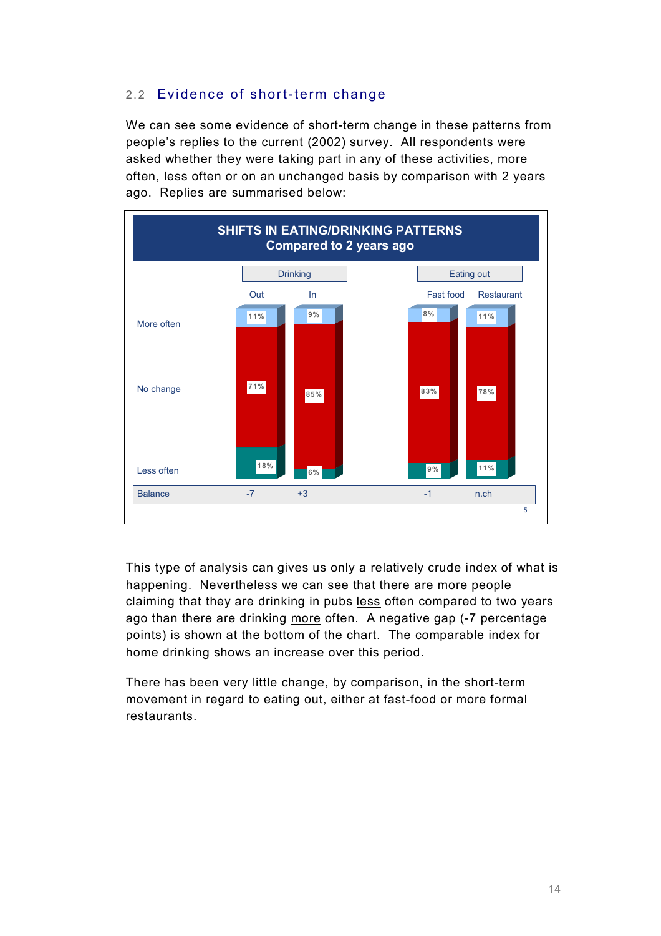#### 2.2 Evidence of short-term change

We can see some evidence of short-term change in these patterns from people's replies to the current (2002) survey. All respondents were asked whether they were taking part in any of these activities, more often, less often or on an unchanged basis by comparison with 2 years ago. Replies are summarised below:



This type of analysis can gives us only a relatively crude index of what is happening. Nevertheless we can see that there are more people claiming that they are drinking in pubs less often compared to two years ago than there are drinking more often. A negative gap (-7 percentage points) is shown at the bottom of the chart. The comparable index for home drinking shows an increase over this period.

There has been very little change, by comparison, in the short-term movement in regard to eating out, either at fast-food or more formal restaurants.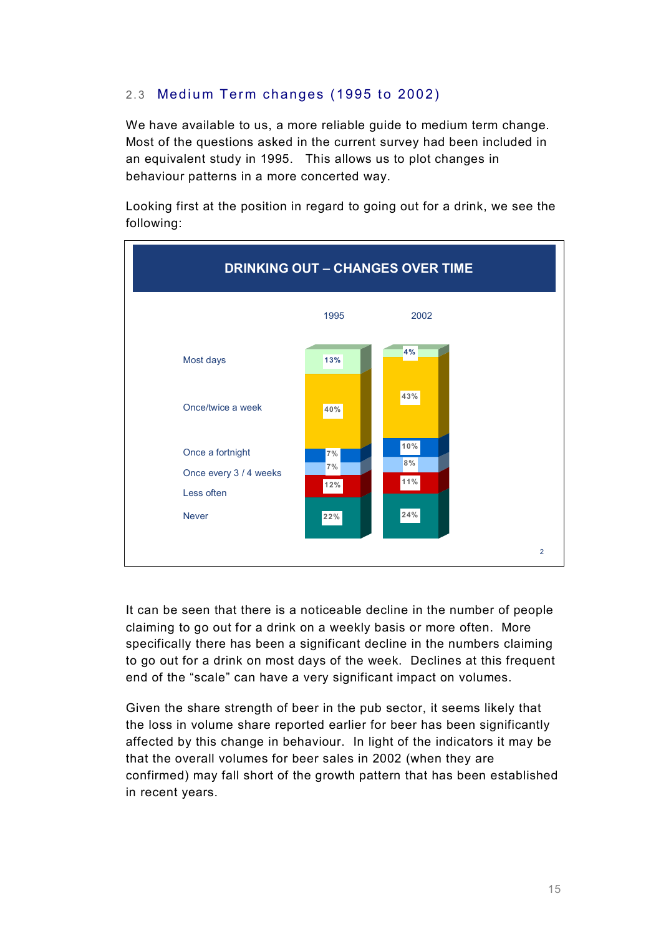#### 2.3 Medium Term changes (1995 to 2002)

We have available to us, a more reliable guide to medium term change. Most of the questions asked in the current survey had been included in an equivalent study in 1995. This allows us to plot changes in behaviour patterns in a more concerted way.

Looking first at the position in regard to going out for a drink, we see the following:



It can be seen that there is a noticeable decline in the number of people claiming to go out for a drink on a weekly basis or more often. More specifically there has been a significant decline in the numbers claiming to go out for a drink on most days of the week. Declines at this frequent end of the "scale" can have a very significant impact on volumes.

Given the share strength of beer in the pub sector, it seems likely that the loss in volume share reported earlier for beer has been significantly affected by this change in behaviour. In light of the indicators it may be that the overall volumes for beer sales in 2002 (when they are confirmed) may fall short of the growth pattern that has been established in recent years.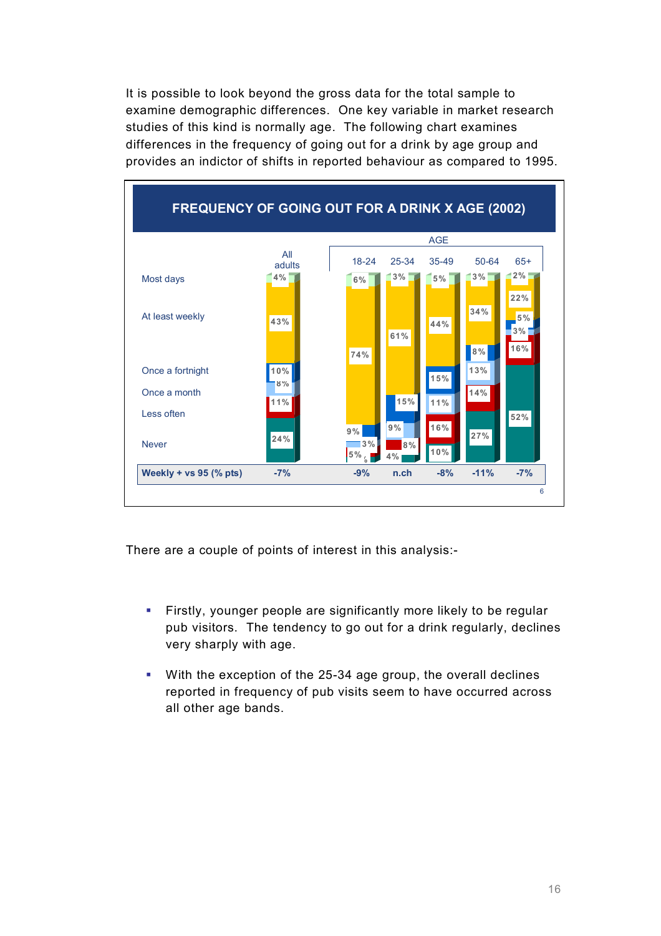It is possible to look beyond the gross data for the total sample to examine demographic differences. One key variable in market research studies of this kind is normally age. The following chart examines differences in the frequency of going out for a drink by age group and provides an indictor of shifts in reported behaviour as compared to 1995.



There are a couple of points of interest in this analysis:-

- ! Firstly, younger people are significantly more likely to be regular pub visitors. The tendency to go out for a drink regularly, declines very sharply with age.
- ! With the exception of the 25-34 age group, the overall declines reported in frequency of pub visits seem to have occurred across all other age bands.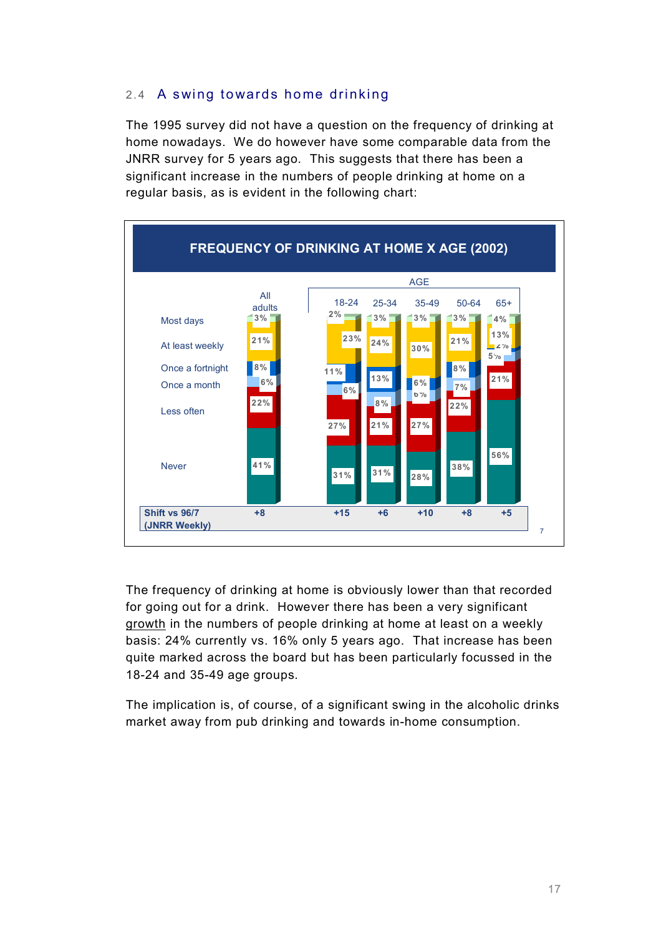#### 2.4 A swing towards home drinking

The 1995 survey did not have a question on the frequency of drinking at home nowadays. We do however have some comparable data from the JNRR survey for 5 years ago. This suggests that there has been a significant increase in the numbers of people drinking at home on a regular basis, as is evident in the following chart:



The frequency of drinking at home is obviously lower than that recorded for going out for a drink. However there has been a very significant growth in the numbers of people drinking at home at least on a weekly basis: 24% currently vs. 16% only 5 years ago. That increase has been quite marked across the board but has been particularly focussed in the 18-24 and 35-49 age groups.

The implication is, of course, of a significant swing in the alcoholic drinks market away from pub drinking and towards in-home consumption.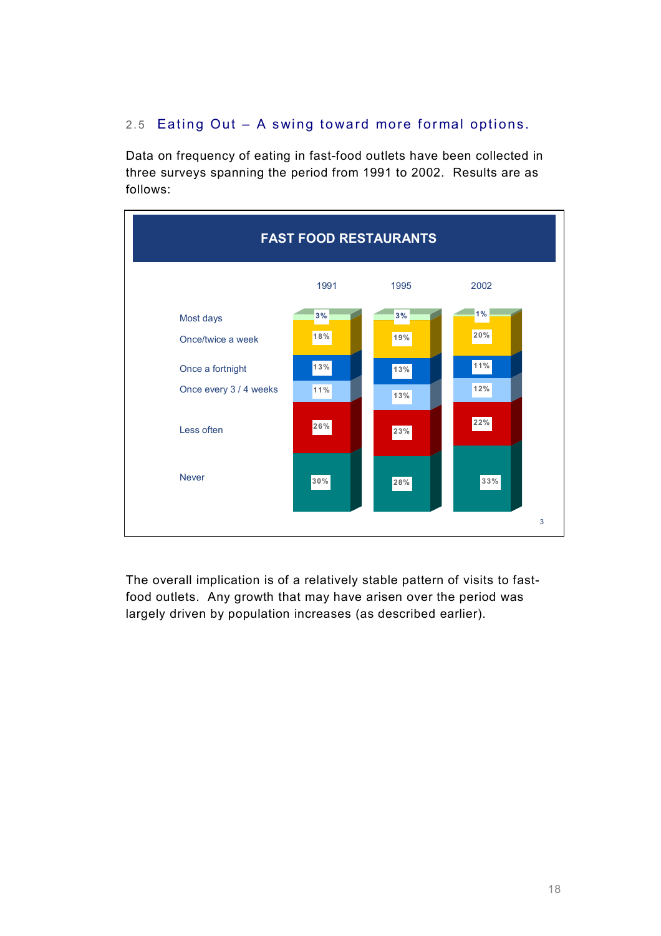### 2.5 Eating Out  $-$  A swing toward more formal options.

Data on frequency of eating in fast-food outlets have been collected in three surveys spanning the period from 1991 to 2002. Results are as follows:



The overall implication is of a relatively stable pattern of visits to fastfood outlets. Any growth that may have arisen over the period was largely driven by population increases (as described earlier).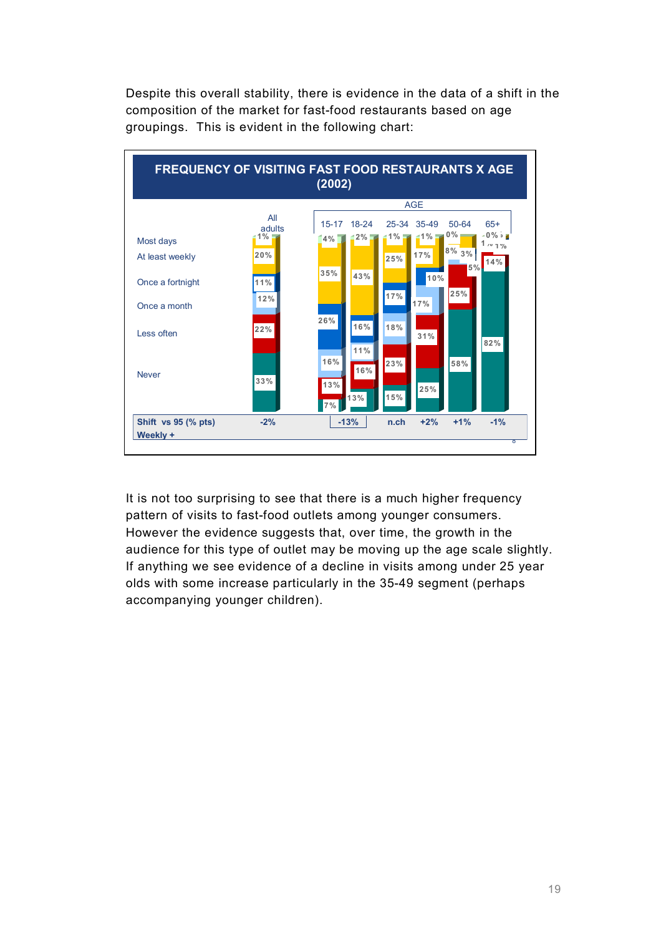Despite this overall stability, there is evidence in the data of a shift in the composition of the market for fast-food restaurants based on age groupings. This is evident in the following chart:



It is not too surprising to see that there is a much higher frequency pattern of visits to fast-food outlets among younger consumers. However the evidence suggests that, over time, the growth in the audience for this type of outlet may be moving up the age scale slightly. If anything we see evidence of a decline in visits among under 25 year olds with some increase particularly in the 35-49 segment (perhaps accompanying younger children).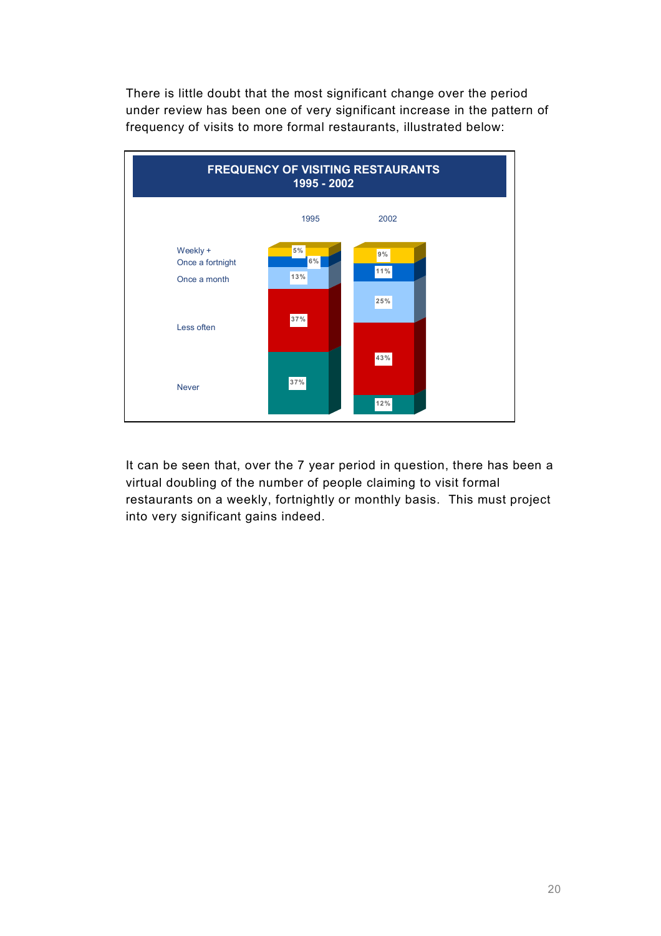There is little doubt that the most significant change over the period under review has been one of very significant increase in the pattern of frequency of visits to more formal restaurants, illustrated below:



It can be seen that, over the 7 year period in question, there has been a virtual doubling of the number of people claiming to visit formal restaurants on a weekly, fortnightly or monthly basis. This must project into very significant gains indeed.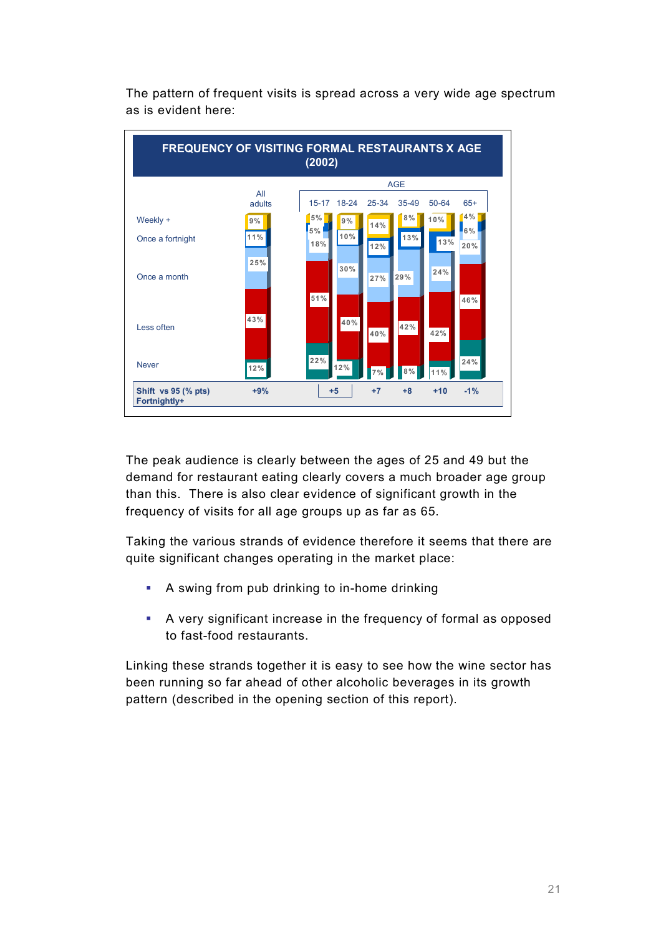

The pattern of frequent visits is spread across a very wide age spectrum as is evident here:

The peak audience is clearly between the ages of 25 and 49 but the demand for restaurant eating clearly covers a much broader age group than this. There is also clear evidence of significant growth in the frequency of visits for all age groups up as far as 65.

Taking the various strands of evidence therefore it seems that there are quite significant changes operating in the market place:

- ! A swing from pub drinking to in-home drinking
- ! A very significant increase in the frequency of formal as opposed to fast-food restaurants.

Linking these strands together it is easy to see how the wine sector has been running so far ahead of other alcoholic beverages in its growth pattern (described in the opening section of this report).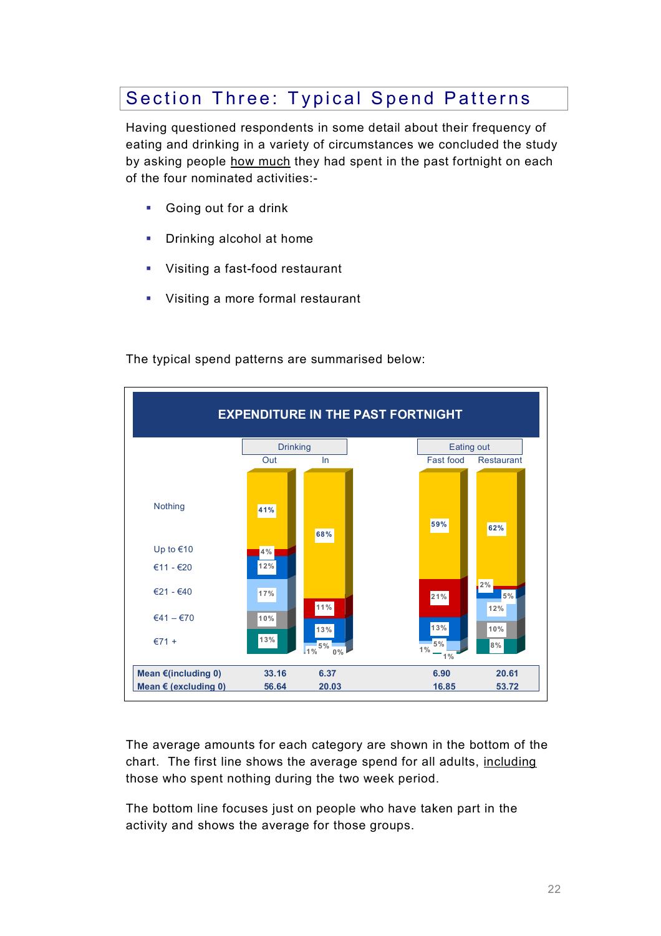## Section Three: Typical Spend Patterns

Having questioned respondents in some detail about their frequency of eating and drinking in a variety of circumstances we concluded the study by asking people how much they had spent in the past fortnight on each of the four nominated activities:-

- **Going out for a drink**
- **•** Drinking alcohol at home
- Visiting a fast-food restaurant
- **•** Visiting a more formal restaurant



The typical spend patterns are summarised below:

The average amounts for each category are shown in the bottom of the chart. The first line shows the average spend for all adults, including those who spent nothing during the two week period.

The bottom line focuses just on people who have taken part in the activity and shows the average for those groups.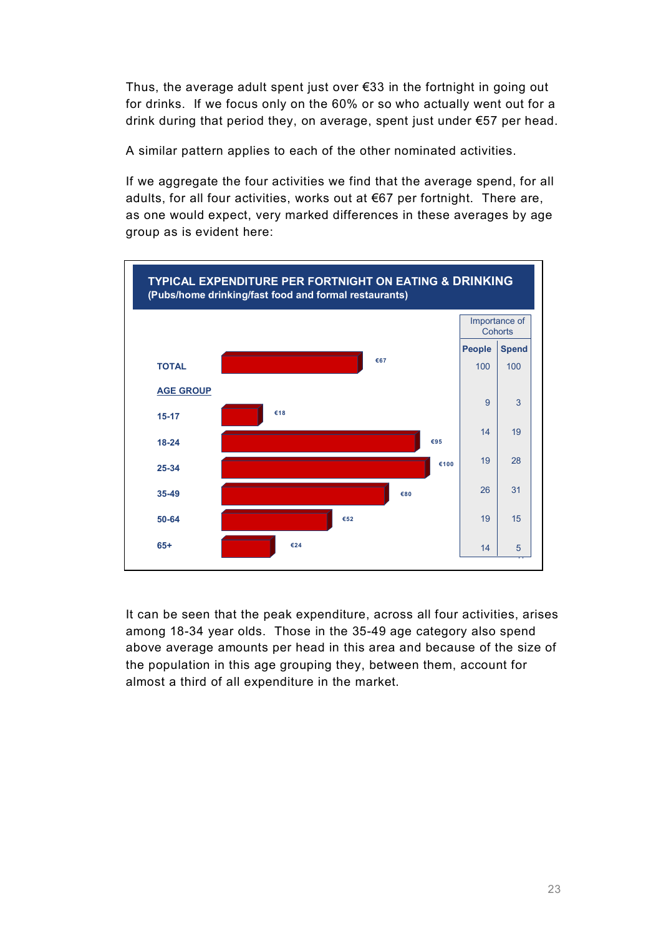Thus, the average adult spent just over  $\epsilon$ 33 in the fortnight in going out for drinks. If we focus only on the 60% or so who actually went out for a drink during that period they, on average, spent just under  $\epsilon$ 57 per head.

A similar pattern applies to each of the other nominated activities.

If we aggregate the four activities we find that the average spend, for all adults, for all four activities, works out at  $€67$  per fortnight. There are, as one would expect, very marked differences in these averages by age group as is evident here:



It can be seen that the peak expenditure, across all four activities, arises among 18-34 year olds. Those in the 35-49 age category also spend above average amounts per head in this area and because of the size of the population in this age grouping they, between them, account for almost a third of all expenditure in the market.